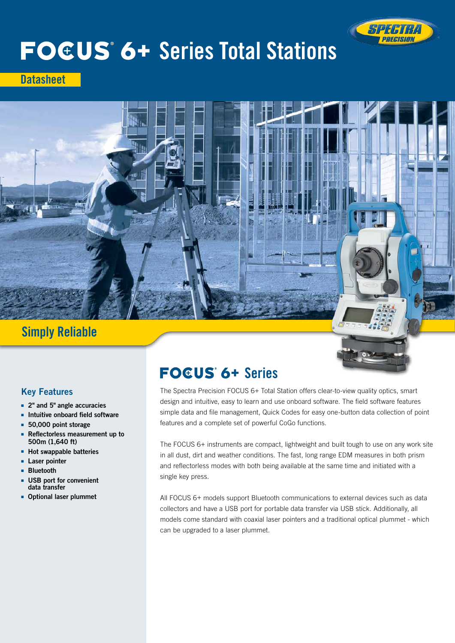

# **FOEUS 6+ Series Total Stations**

**Datasheet** 



# Simply Reliable

# Key Features

- 2" and 5" angle accuracies
- Intuitive onboard field software
- 50,000 point storage
- Reflectorless measurement up to 500m (1,640 ft)
- Hot swappable batteries
- Laser pointer
- Bluetooth
- USB port for convenient data transfer
- Optional laser plummet

# **FOGUS 6+ Series**

The Spectra Precision FOCUS 6+ Total Station offers clear-to-view quality optics, smart design and intuitive, easy to learn and use onboard software. The field software features simple data and file management, Quick Codes for easy one-button data collection of point features and a complete set of powerful CoGo functions.

The FOCUS 6+ instruments are compact, lightweight and built tough to use on any work site in all dust, dirt and weather conditions. The fast, long range EDM measures in both prism and reflectorless modes with both being available at the same time and initiated with a single key press.

All FOCUS 6+ models support Bluetooth communications to external devices such as data collectors and have a USB port for portable data transfer via USB stick. Additionally, all models come standard with coaxial laser pointers and a traditional optical plummet - which can be upgraded to a laser plummet.